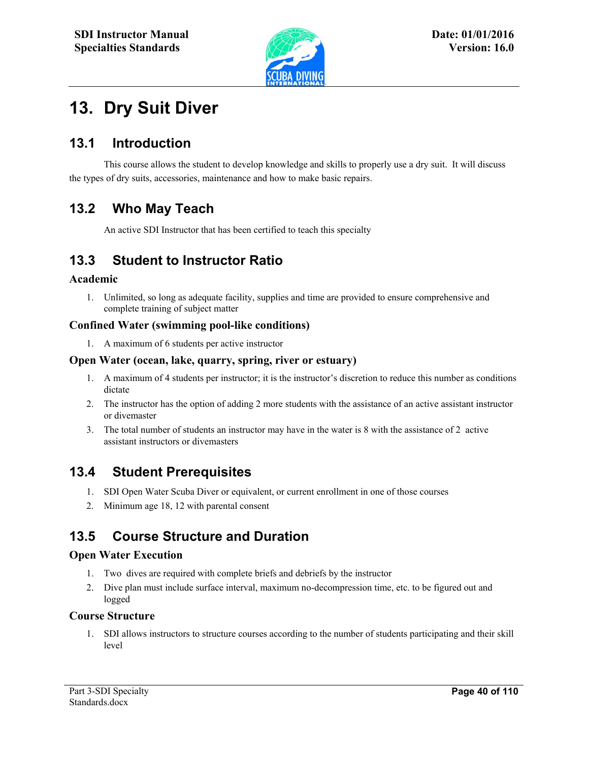

# **13. Dry Suit Diver**

### **13.1 Introduction**

This course allows the student to develop knowledge and skills to properly use a dry suit. It will discuss the types of dry suits, accessories, maintenance and how to make basic repairs.

# **13.2 Who May Teach**

An active SDI Instructor that has been certified to teach this specialty

l

# **13.3 Student to Instructor Ratio**

#### **Academic**

1. Unlimited, so long as adequate facility, supplies and time are provided to ensure comprehensive and complete training of subject matter

#### **Confined Water (swimming pool-like conditions)**

1. A maximum of 6 students per active instructor

#### **Open Water (ocean, lake, quarry, spring, river or estuary)**

- 1. A maximum of 4 students per instructor; it is the instructor's discretion to reduce this number as conditions dictate
- 2. The instructor has the option of adding 2 more students with the assistance of an active assistant instructor or divemaster
- 3. The total number of students an instructor may have in the water is 8 with the assistance of 2 active assistant instructors or divemasters

### **13.4 Student Prerequisites**

- 1. SDI Open Water Scuba Diver or equivalent, or current enrollment in one of those courses
- 2. Minimum age 18, 12 with parental consent

# **13.5 Course Structure and Duration**

#### **Open Water Execution**

- 1. Two dives are required with complete briefs and debriefs by the instructor
- 2. Dive plan must include surface interval, maximum no-decompression time, etc. to be figured out and logged

#### **Course Structure**

1. SDI allows instructors to structure courses according to the number of students participating and their skill level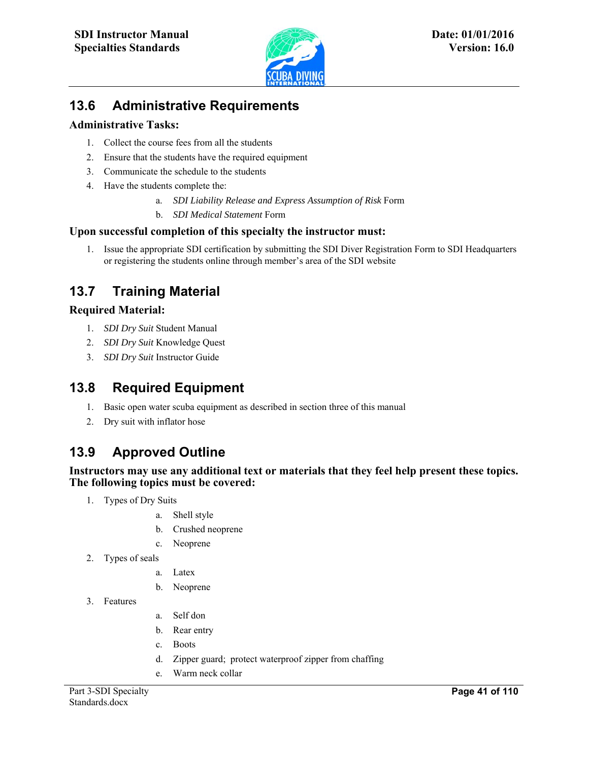

l

# **13.6 Administrative Requirements**

#### **Administrative Tasks:**

- 1. Collect the course fees from all the students
- 2. Ensure that the students have the required equipment
- 3. Communicate the schedule to the students
- 4. Have the students complete the:
	- a. *SDI Liability Release and Express Assumption of Risk* Form
	- b. *SDI Medical Statement* Form

#### **Upon successful completion of this specialty the instructor must:**

1. Issue the appropriate SDI certification by submitting the SDI Diver Registration Form to SDI Headquarters or registering the students online through member's area of the SDI website

# **13.7 Training Material**

#### **Required Material:**

- 1. *SDI Dry Suit* Student Manual
- 2. *SDI Dry Suit* Knowledge Quest
- 3. *SDI Dry Suit* Instructor Guide

### **13.8 Required Equipment**

- 1. Basic open water scuba equipment as described in section three of this manual
- 2. Dry suit with inflator hose

# **13.9 Approved Outline**

#### **Instructors may use any additional text or materials that they feel help present these topics. The following topics must be covered:**

- 1. Types of Dry Suits
	- a. Shell style
	- b. Crushed neoprene
	- c. Neoprene
- 2. Types of seals
	- a. Latex
	- b. Neoprene
- 3. Features
- a. Self don
- b. Rear entry
- c. Boots
- d. Zipper guard; protect waterproof zipper from chaffing
- e. Warm neck collar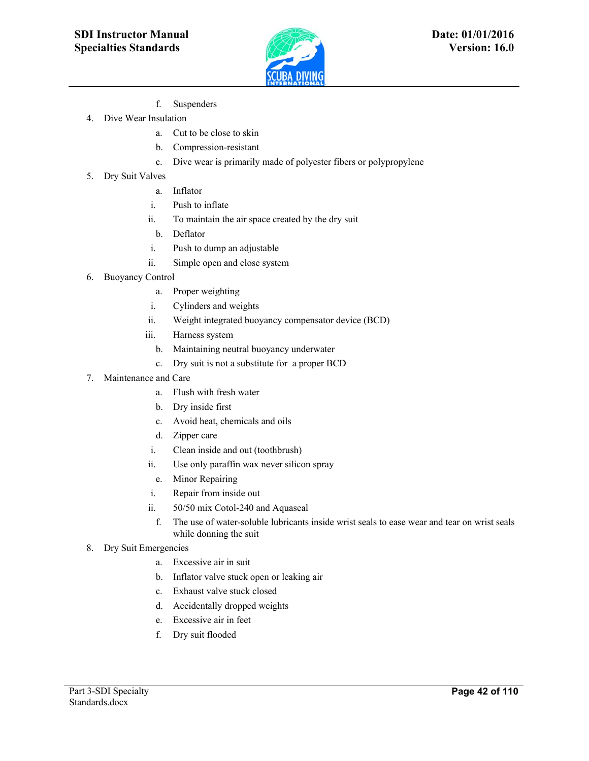

- f. Suspenders
- 4. Dive Wear Insulation
	- a. Cut to be close to skin
	- b. Compression-resistant
	- c. Dive wear is primarily made of polyester fibers or polypropylene
- 5. Dry Suit Valves
	- a. Inflator
	- i. Push to inflate
	- ii. To maintain the air space created by the dry suit

l

- b. Deflator
- i. Push to dump an adjustable
- ii. Simple open and close system
- 6. Buoyancy Control
	- a. Proper weighting
	- i. Cylinders and weights
	- ii. Weight integrated buoyancy compensator device (BCD)
	- iii. Harness system
		- b. Maintaining neutral buoyancy underwater
		- c. Dry suit is not a substitute for a proper BCD
- 7. Maintenance and Care
	- a. Flush with fresh water
	- b. Dry inside first
	- c. Avoid heat, chemicals and oils
	- d. Zipper care
	- i. Clean inside and out (toothbrush)
	- ii. Use only paraffin wax never silicon spray
	- e. Minor Repairing
	- i. Repair from inside out
	- ii. 50/50 mix Cotol-240 and Aquaseal
	- f. The use of water-soluble lubricants inside wrist seals to ease wear and tear on wrist seals while donning the suit
- 8. Dry Suit Emergencies
	- a. Excessive air in suit
	- b. Inflator valve stuck open or leaking air
	- c. Exhaust valve stuck closed
	- d. Accidentally dropped weights
	- e. Excessive air in feet
	- f. Dry suit flooded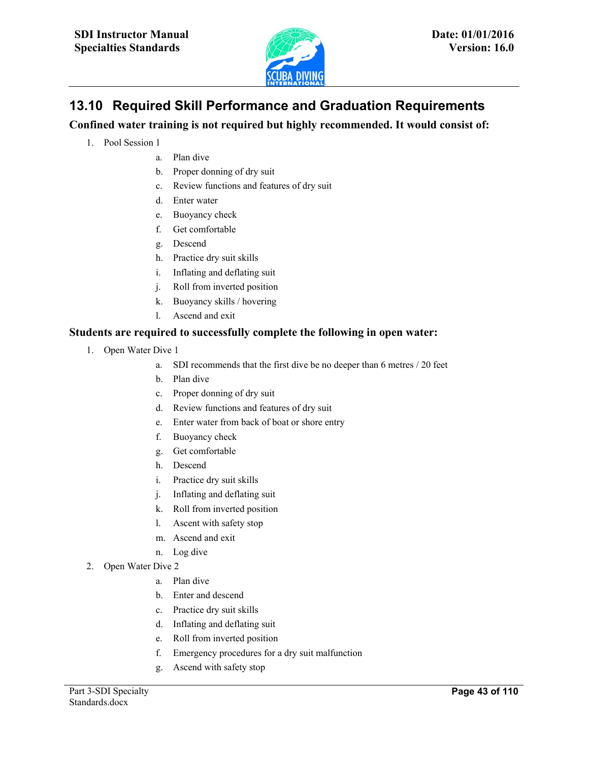

# **13.10 Required Skill Performance and Graduation Requirements**

l

**Confined water training is not required but highly recommended. It would consist of:** 

- 1. Pool Session 1
	- a. Plan dive
	- b. Proper donning of dry suit
	- c. Review functions and features of dry suit
	- d. Enter water
	- e. Buoyancy check
	- f. Get comfortable
	- g. Descend
	- h. Practice dry suit skills
	- i. Inflating and deflating suit
	- j. Roll from inverted position
	- k. Buoyancy skills / hovering
	- l. Ascend and exit

#### **Students are required to successfully complete the following in open water:**

- 1. Open Water Dive 1
	- a. SDI recommends that the first dive be no deeper than 6 metres / 20 feet
	- b. Plan dive
	- c. Proper donning of dry suit
	- d. Review functions and features of dry suit
	- e. Enter water from back of boat or shore entry
	- f. Buoyancy check
	- g. Get comfortable
	- h. Descend
	- i. Practice dry suit skills
	- j. Inflating and deflating suit
	- k. Roll from inverted position
	- l. Ascent with safety stop
	- m. Ascend and exit
	- n. Log dive
- 2. Open Water Dive 2
	- a. Plan dive
	- b. Enter and descend
	- c. Practice dry suit skills
	- d. Inflating and deflating suit
	- e. Roll from inverted position
	- f. Emergency procedures for a dry suit malfunction
	- g. Ascend with safety stop